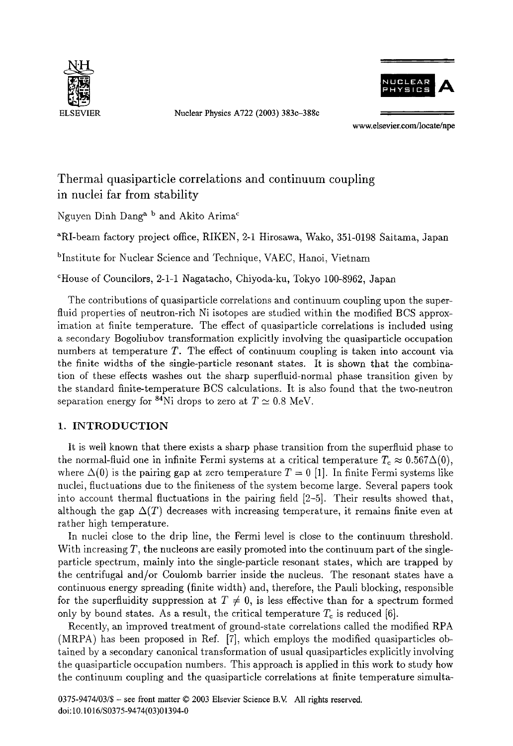

ELSEVIER Nuclear Physics **A722** (2003) 383c-388c



**www.elsevier.com/locate/npe** 

# Thermal quasiparticle correlations and continuum coupling in nuclei far from stability

Nguyen Dinh Dang<sup>a b</sup> and Akito Arima<sup>c</sup>

"RI-beam factory project office, RIKEN, 2-1 Hirosawa, Wako, 351-0198 Saitama, Japan

bInstitute for Nuclear Science and Technique, VAEC, Hanoi, Vietnam

'House of Councilors, 2-1-1 Nagatacho, Chiyoda-ku, Tokyo 100-8962, Japan

The contributions of quasiparticle correlations and continuum coupling upon the superfluid properties of neutron-rich Ni isotopes are studied within the modified BCS approximation at finite temperature. The effect of quasiparticle correlations is included using a secondary Bogoliubov transformation explicitly involving the quasiparticle occupation numbers at temperature *T.* The effect of continuum coupling is taken into account via the finite widths of the single-particle resonant states. It is shown that the combination of these effects washes out the sharp superfluid-normal phase transition given by the standard finite-temperature BCS calculations. It is also found that the two-neutron separation energy for <sup>84</sup>Ni drops to zero at  $T \simeq 0.8$  MeV.

## **1. INTRODUCTION**

It is well known that there exists a sharp phase transition from the superfluid phase to the normal-fluid one in infinite Fermi systems at a critical temperature  $T_c \approx 0.567\Delta(0)$ , where  $\Delta(0)$  is the pairing gap at zero temperature  $T = 0$  [1]. In finite Fermi systems like nuclei, fluctuations due to the finiteness of the system become large. Several papers took into account thermal fluctuations in the pairing field [2-51. Their results showed that, although the gap  $\Delta(T)$  decreases with increasing temperature, it remains finite even at rather high temperature.

In nuclei close to the drip line, the Fermi level is close to the continuum threshold. With increasing  $T$ , the nucleons are easily promoted into the continuum part of the singleparticle spectrum, mainly into the single-particle resonant states, which are trapped by the centrifugal and/or Coulomb barrier inside the nucleus. The resonant states have a continuous energy spreading (finite width) and, therefore, the Pauli blocking, responsible for the superfluidity suppression at  $T \neq 0$ , is less effective than for a spectrum formed only by bound states. As a result, the critical temperature  $T_c$  is reduced [6].

Recently, an improved treatment of ground-state correlations called the modified RPA (MRPA) has been proposed in Ref. *[7],* which employs the modified quasiparticles obtained by a secondary canonical transformation of usual quasiparticles explicitly involving the quasiparticle occupation numbers. This approach is applied in this work to study how the continuum coupling and the quasiparticle correlations at finite temperature simulta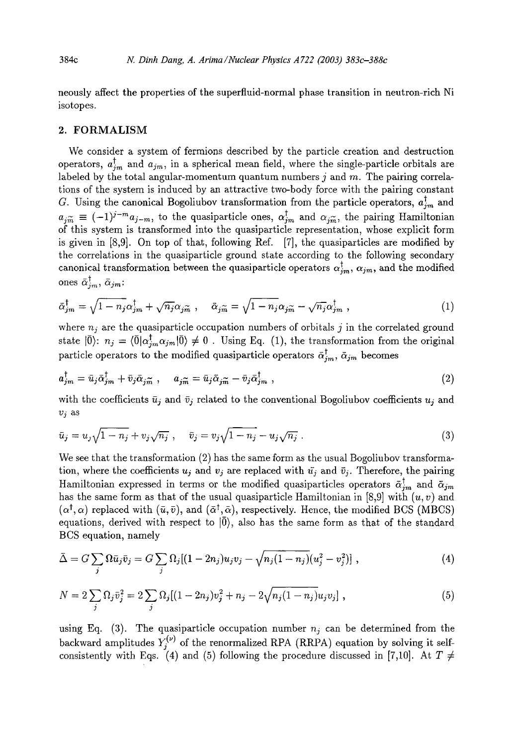neously affect the properties of the superfluid-normal phase transition in neutron-rich Ni isotopes.

#### **2. FORMALISM**

We consider a system of fermions described by the particle creation and destruction operators,  $a_{im}^{\dagger}$  and  $a_{jm}$ , in a spherical mean field, where the single-particle orbitals are labeled by the total angular-momentum quantum numbers  $j$  and  $m$ . The pairing correlations of the system is induced by an attractive two-body force with the pairing constant G. Using the canonical Bogoliubov transformation from the particle operators,  $a_{jm}^{\dagger}$  and  $a_{i\tilde{m}} \equiv (-1)^{j-m} a_{j-m}$ , to the quasiparticle ones,  $\alpha^{\dagger}_{im}$  and  $\alpha_{i\tilde{m}}$ , the pairing Hamiltonian of this system is transformed into the quasiparticle representation, whose explicit form is given in [S,9]. On top of that, following Ref. [7], the quasiparticles are modified by the correlations in the quasiparticle ground state according to the following secondary canonical transformation between the quasiparticle operators  $\alpha_{im}^{\dagger}$ ,  $\alpha_{jm}$ , and the modified ones  $\bar{\alpha}_{jm}^{\dagger}, \bar{\alpha}_{jm}$ :

$$
\bar{\alpha}_{jm}^{\dagger} = \sqrt{1 - n_j} \alpha_{jm}^{\dagger} + \sqrt{n_j} \alpha_{jm} , \quad \bar{\alpha}_{jm} = \sqrt{1 - n_j} \alpha_{jm} - \sqrt{n_j} \alpha_{jm}^{\dagger} , \qquad (1)
$$

where  $n_j$  are the quasiparticle occupation numbers of orbitals  $j$  in the correlated ground state  $|\bar{0}\rangle$ :  $n_j = \langle 0 | \alpha_{im}^{\dagger} \alpha_{jm} |0\rangle \neq 0$ . Using Eq. (1), the transformation from the original particle operators to the modified quasiparticle operators  $\bar{\alpha}_{im}^{\dagger}$ ,  $\bar{\alpha}_{jm}$  becomes

$$
a_{jm}^{\dagger} = \bar{u}_j \bar{\alpha}_{jm}^{\dagger} + \bar{v}_j \bar{\alpha}_{jm} , \quad a_{j\widetilde{m}} = \bar{u}_j \bar{\alpha}_{j\widetilde{m}} - \bar{v}_j \bar{\alpha}_{jm}^{\dagger} , \qquad (2)
$$

with the coefficients  $\bar{u}_j$  and  $\bar{v}_j$  related to the conventional Bogoliubov coefficients  $u_j$  and  $v_j$  as

$$
\bar{u}_j = u_j \sqrt{1 - n_j} + v_j \sqrt{n_j} \ , \quad \bar{v}_j = v_j \sqrt{1 - n_j} - u_j \sqrt{n_j} \ . \tag{3}
$$

We see that the transformation (2) has the same form as the usual Bogoliubov transformation, where the coefficients  $u_j$  and  $v_j$  are replaced with  $\tilde{u}_j$  and  $\tilde{v}_j$ . Therefore, the pairing Hamiltonian expressed in terms or the modified quasiparticles operators  $\bar{\alpha}_{jm}^{\dagger}$  and  $\bar{\alpha}_{jm}$ has the same form as that of the usual quasiparticle Hamiltonian in [8,9] with  $(u, v)$  and  $(\alpha^{\dagger}, \alpha)$  replaced with  $(\bar{u}, \bar{v})$ , and  $(\bar{\alpha}^{\dagger}, \bar{\alpha})$ , respectively. Hence, the modified BCS (MBCS) equations, derived with respect to  $|0\rangle$ , also has the same form as that of the standard BCS equation, namely

$$
\bar{\Delta} = G \sum_{j} \Omega \bar{u}_{j} \bar{v}_{j} = G \sum_{j} \Omega_{j} [(1 - 2n_{j}) u_{j} v_{j} - \sqrt{n_{j} (1 - n_{j})} (u_{j}^{2} - v_{j}^{2})], \qquad (4)
$$

$$
N = 2\sum_{j} \Omega_{j} \bar{v}_{j}^{2} = 2\sum_{j} \Omega_{j} [(1 - 2n_{j})v_{j}^{2} + n_{j} - 2\sqrt{n_{j}(1 - n_{j})}u_{j}v_{j}], \qquad (5)
$$

using Eq. (3). The quasiparticle occupation number  $n_j$  can be determined from the backward amplitudes  $Y_i^{(\nu)}$  of the renormalized RPA (RRPA) equation by solving it selfconsistently with Eqs. (4) and (5) following the procedure discussed in [7,10]. At  $T \neq$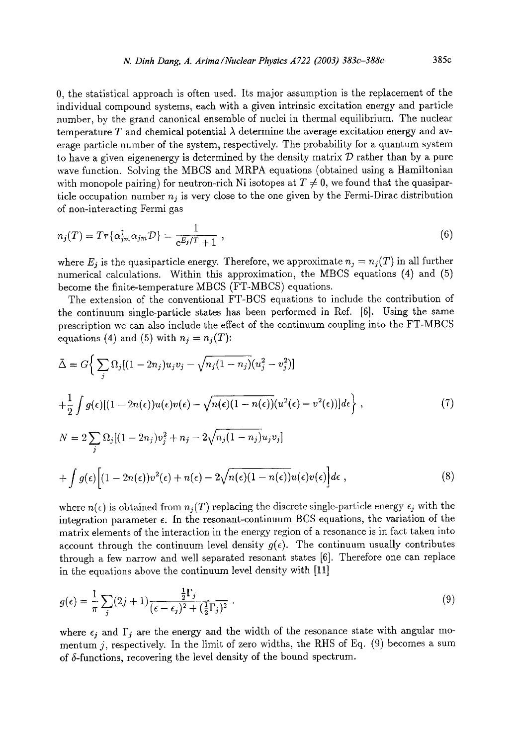0, the statistical approach is often used. Its major assumption is the replacement of the individual compound systems, each with a given intrinsic excitation energy and particle number, by the grand canonical ensemble of nuclei in thermal equilibrium. The nuclear temperature  $T$  and chemical potential  $\lambda$  determine the average excitation energy and average particle number of the system, respectively. The probability for a quantum system to have a given eigenenergy is determined by the density matrix  $\mathcal D$  rather than by a pure wave function. Solving the MBCS and MRPA equations (obtained using a Hamiltonian with monopole pairing) for neutron-rich Ni isotopes at  $T \neq 0$ , we found that the quasiparticle occupation number  $n_i$  is very close to the one given by the Fermi-Dirac distribution of non-interacting Fermi gas

$$
n_j(T) = Tr\{\alpha_{jm}^\dagger \alpha_{jm} \mathcal{D}\} = \frac{1}{e^{E_j/T} + 1} \,,\tag{6}
$$

where  $E_j$  is the quasiparticle energy. Therefore, we approximate  $n_j = n_j(T)$  in all further numerical calculations. Within this approximation, the MBCS equations **(4)** and *(5)*  become the finite-temperature MBCS (FT-MBCS) equations.

The extension of the conventional FT-BCS equations to include the contribution of the continuum single-particle states has been performed in Ref. *[6].* Using the same prescription we can also include the effect of the continuum coupling into the FT-MBCS equations (4) and (5) with  $n_j = n_j(T)$ :

$$
\bar{\Delta} = G \Big\{ \sum_{j} \Omega_{j} [(1 - 2n_{j}) u_{j} v_{j} - \sqrt{n_{j} (1 - n_{j})} (u_{j}^{2} - v_{j}^{2})] + \frac{1}{2} \int g(\epsilon) [(1 - 2n(\epsilon)) u(\epsilon) v(\epsilon) - \sqrt{n(\epsilon)(1 - n(\epsilon))} (u^{2}(\epsilon) - v^{2}(\epsilon))] d\epsilon \Big\},
$$
\n
$$
N = 2 \sum_{j} \Omega_{j} [(1 - 2n_{j}) v_{j}^{2} + n_{j} - 2\sqrt{n_{j} (1 - n_{j})} u_{j} v_{j}]
$$
\n(7)

$$
+\int g(\epsilon)\Big[(1-2n(\epsilon))v^2(\epsilon)+n(\epsilon)-2\sqrt{n(\epsilon)(1-n(\epsilon))}u(\epsilon)v(\epsilon)\Big]d\epsilon\;, \tag{8}
$$

where  $n(\epsilon)$  is obtained from  $n_j(T)$  replacing the discrete single-particle energy  $\epsilon_j$  with the integration parameter  $\epsilon$ . In the resonant-continuum BCS equations, the variation of the matrix elements of the interaction in the energy region of a resonance is in fact taken into account through the continuum level density  $g(\epsilon)$ . The continuum usually contributes through a few narrow and well separated resonant states [6]. Therefore one can replace in the equations above the continuum level density with [ll]

$$
g(\epsilon) = \frac{1}{\pi} \sum_{j} (2j+1) \frac{\frac{1}{2} \Gamma_j}{(\epsilon - \epsilon_j)^2 + (\frac{1}{2} \Gamma_j)^2} \,. \tag{9}
$$

where  $\epsilon_j$  and  $\Gamma_j$  are the energy and the width of the resonance state with angular momentum *j,* respectively. In the limit of zero widths, the RHS of Eq. (9) becomes a sum of  $\delta$ -functions, recovering the level density of the bound spectrum.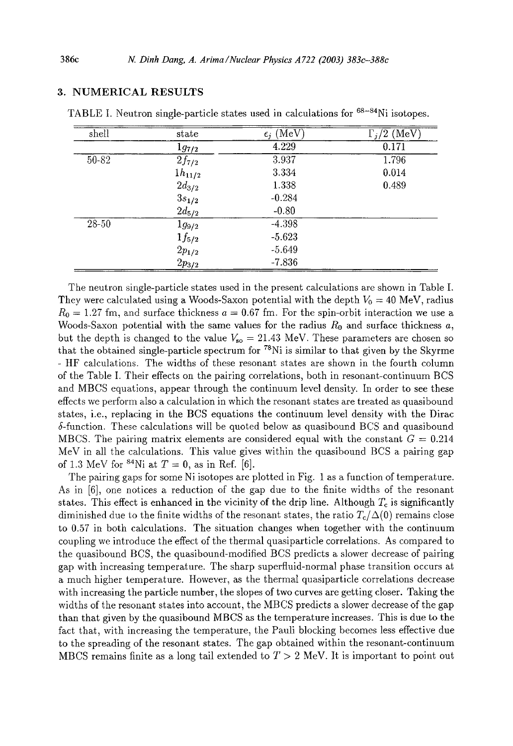| shell | state       | $\epsilon_j$ (MeV) | $\Gamma_i/\overline{2}$ (MeV) |
|-------|-------------|--------------------|-------------------------------|
|       | $1g_{7/2}$  | 4.229              | 0.171                         |
| 50-82 | $2f_{7/2}$  | 3.937              | 1.796                         |
|       | $1h_{11/2}$ | 3.334              | 0.014                         |
|       | $2d_{3/2}$  | 1.338              | 0.489                         |
|       | $3s_{1/2}$  | $-0.284$           |                               |
|       | $2d_{5/2}$  | $-0.80$            |                               |
| 28-50 | $1g_{9/2}$  | $-4.398$           |                               |
|       | $1f_{5/2}$  | $-5.623$           |                               |
|       | $2p_{1/2}$  | $-5.649$           |                               |
|       | $2p_{3/2}$  | $-7.836$           |                               |

#### **3. NUMERICAL RESULTS**

TABLE I. Neutron single-particle states used in calculations for  $68-84$ Ni isotopes.

The neutron single-particle states used in the present calculations are shown in Table I. They were calculated using a Woods-Saxon potential with the depth  $V_0 = 40$  MeV, radius  $R_0 = 1.27$  fm, and surface thickness  $a = 0.67$  fm. For the spin-orbit interaction we use a Woods-Saxon potential with the same values for the radius *Ro* and surface thickness *a,*  but the depth is changed to the value  $V_{so} = 21.43$  MeV. These parameters are chosen so that the obtained single-particle spectrum for  $^{78}$ Ni is similar to that given by the Skyrme - HF calculations. The widths of these resonant states are shown in the fourth column of the Table I. Their effects on the pairing correlations, both in resonant-continuum BCS and MBCS equations, appear through the continuum level density. In order to see these effects we perform also a calculation in which the resonant states are treated as quasibound states, i.e., replacing in the BCS equations the continuum level density with the Dirac  $\delta$ -function. These calculations will be quoted below as quasibound BCS and quasibound MBCS. The pairing matrix elements are considered equal with the constant  $G = 0.214$ MeV in all the calculations. This value gives within the quasibound BCS a pairing gap of 1.3 MeV for <sup>84</sup>Ni at  $T = 0$ , as in Ref. [6].

The pairing gaps for some Ni isotopes are plotted in Fig. 1 as a function of temperature. As in [6], one notices a reduction of the gap due to the finite widths of the resonant states. This effect is enhanced in the vicinity of the drip line. Although  $T_c$  is significantly diminished due to the finite widths of the resonant states, the ratio  $T_c/\Delta(0)$  remains close to 0.57 in both calculations. The situation changes when together with the continuum coupling we introduce the effect of the thermal quasiparticle correlations. As compared to the quasibound BCS, the quasibound-modified BCS predicts a slower decrease of pairing gap with increasing temperature. The sharp superfluid-normal phase transition occurs at a much higher temperature. However, as the thermal quasiparticle correlations decrease with increasing the particle number, the slopes of two curves are getting closer. Taking the widths of the resonant states into account, the MBCS predicts a slower decrease of the gap than that given by the quasibound MBCS as the temperature increases. This is due to the fact that, with increasing the temperature, the Pauli blocking becomes less effective due to the spreading of the resonant states. The gap obtained within the resonant-continuum MBCS remains finite as a long tail extended to  $T > 2$  MeV. It is important to point out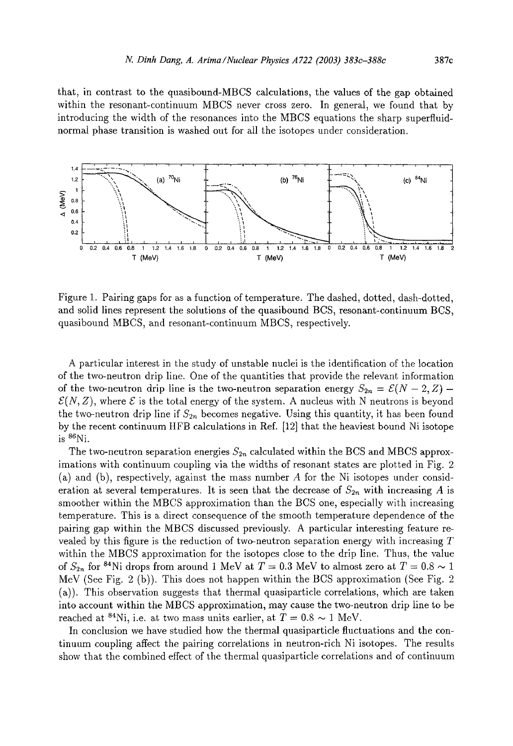that, in contrast to the quasibound-MBCS calculations, the values of the gap obtained within the resonant-continuum MBCS never cross zero. In general, we found that by introducing the width of the resonances into the MBCS equations the sharp superfluidnormal phase transition is washed out for all the isotopes under consideration.



Figure 1. Pairing gaps for as a function of temperature. The dashed, dotted, dash-dotted, and solid lines represent the solutions of the quasibound BCS, resonant-continuum BCS, quasibound MBCS, and resonant-continuum MBCS, respectively.

A particular interest in the study of unstable nuclei is the identification of the location of the two-neutron drip line. One of the quantities that provide the relevant information of the two-neutron drip line is the two-neutron separation energy  $S_{2n} = \mathcal{E}(N-2,Z)$  $\mathcal{E}(N, Z)$ , where  $\mathcal E$  is the total energy of the system. A nucleus with N neutrons is beyond the two-neutron drip line if *S2%* becomes negative. Using this quantity, it has been found by the recent continuum HFB calculations in Ref.  $[12]$  that the heaviest bound Ni isotope is  $86$ Ni.

The two-neutron separation energies  $S_{2n}$  calculated within the BCS and MBCS approximations with continuum coupling via the widths of resonant states are plotted in Fig. 2 (a) and (b), respectively, against the mass number *A* for the Ni isotopes under consideration at several temperatures. It is seen that the decrease of  $S_{2n}$  with increasing A is smoother within the MBCS approximation than the BCS one, especially with increasing temperature. This is a direct consequence of the smooth temperature dependence of the pairing gap within the MBCS discussed previously. A particular interesting feature revealed by this figure is the reduction of two-neutron separation energy with increasing *T*  within the MBCS approximation for the isotopes close to the drip line. Thus, the value of  $S_{2n}$  for <sup>84</sup>Ni drops from around 1 MeV at  $T = 0.3$  MeV to almost zero at  $T = 0.8 \sim 1$ MeV (See Fig. 2 (b)). This does not happen within the BCS approximation (See Fig. 2 (a)). This observation suggests that thermal quasiparticle correlations, which are taken into account within the MBCS approximation, may cause the two-neutron drip line to be reached at <sup>84</sup>Ni, i.e. at two mass units earlier, at  $T = 0.8 \sim 1$  MeV.

In conclusion we have studied how the thermal quasiparticle fluctuations and the continuum coupling affect the pairing correlations in neutron-rich Ni isotopes. The results show that the combined effect of the thermal quasiparticle correlations and of continuum